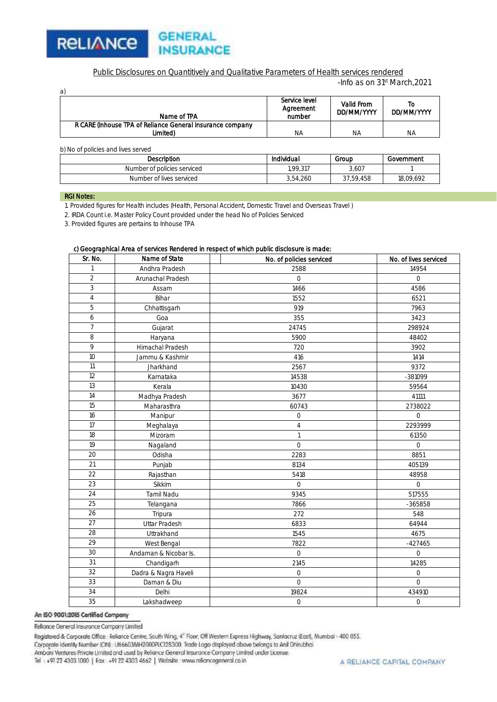

Public Disclosures on Quantitively and Qualitative Parameters of Health services rendered

-Info as on 31st March,2021

| a)                                                        |                                      |                          |                  |
|-----------------------------------------------------------|--------------------------------------|--------------------------|------------------|
| Name of TPA                                               | Service level<br>Agreement<br>number | Valid From<br>DD/MM/YYYY | Т٥<br>DD/MM/YYYY |
| R CARE (Inhouse TPA of Reliance General Insurance company |                                      |                          |                  |
| Limited)                                                  | NΑ                                   | ΝA                       | <b>NA</b>        |

|  | b) No of policies and lives served |  |
|--|------------------------------------|--|
|--|------------------------------------|--|

| Description                 | Individual | Group     | Government |
|-----------------------------|------------|-----------|------------|
| Number of policies serviced | .99.317    | 3,607     |            |
| Number of lives serviced    | 3,54,260   | 37.59.458 | 18,09,692  |

### RGI Notes:

1. Provided figures for Health includes (Health, Personal Accident, Domestic Travel and Overseas Travel )

2. IRDA Count i.e. Master Policy Count provided under the head No of Policies Serviced

3. Provided figures are pertains to Inhouse TPA

## c) Geographical Area of services Rendered in respect of which public disclosure is made:

| Sr. No.         | Name of State         | No. of policies serviced | No. of lives serviced |
|-----------------|-----------------------|--------------------------|-----------------------|
| 1               | Andhra Pradesh        | 2588                     | 14954                 |
| $\overline{2}$  | Arunachal Pradesh     | $\overline{0}$           | $\mathbf 0$           |
| 3               | Assam                 | 1466                     | 4586                  |
| $\overline{4}$  | Bihar                 | 1552                     | 6521                  |
| 5               | Chhattisgarh          | 919                      | 7963                  |
| 6               | Goa                   | 355                      | 3423                  |
| $\overline{7}$  | Gujarat               | 24745                    | 298924                |
| 8               | Haryana               | 5900                     | 48402                 |
| 9               | Himachal Pradesh      | 720                      | 3902                  |
| 10              | Jammu & Kashmir       | 416                      | 1414                  |
| 11              | Jharkhand             | 2567                     | 9372                  |
| 12              | Karnataka             | 14538                    | -381099               |
| 13              | Kerala                | 10430                    | 59564                 |
| 14              | Madhya Pradesh        | 3677                     | 41111                 |
| 15              | Maharasthra           | 60743                    | 2738022               |
| 16              | Manipur               | $\mathsf{O}\xspace$      | $\mathbf 0$           |
| 17              | Meghalaya             | $\overline{4}$           | 2293999               |
| 18              | Mizoram               | 1                        | 61350                 |
| 19              | Nagaland              | $\overline{0}$           | $\overline{O}$        |
| 20              | Odisha                | 2283                     | 8851                  |
| 21              | Punjab                | 8134                     | 405139                |
| $\overline{22}$ | Rajasthan             | 5418                     | 48958                 |
| 23              | Sikkim                | $\Omega$                 | $\overline{0}$        |
| 24              | Tamil Nadu            | 9345                     | 517555                |
| 25              | Telangana             | 7866                     | $-365858$             |
| $\overline{26}$ | Tripura               | 272                      | 548                   |
| 27              | <b>Uttar Pradesh</b>  | 6833                     | 64944                 |
| 28              | Uttrakhand            | 1545                     | 4675                  |
| 29              | West Bengal           | 7822                     | $-427465$             |
| 30              | Andaman & Nicobar Is. | $\circ$                  | $\mathbf 0$           |
| 31              | Chandigarh            | 2145                     | 14285                 |
| $\overline{32}$ | Dadra & Nagra Haveli  | $\overline{0}$           | $\mathsf{O}\xspace$   |
| 33              | Daman & Diu           | $\mathbf 0$              | $\mathbf 0$           |
| 34              | Delhi                 | 19824                    | 434910                |
| 35              | Lakshadweep           | $\mathsf O$              | $\circ$               |

## An ISO 9001:2015 Certified Company

Reliance General Insurance Company Limited

Registered & Corporate Office : Reliance Centre, South Wing, 4" Floor, Off Western Express Highway, Santacruz (East), Mumbai - 400 055.

Corporate Identity Number (CIN) : U66603MH2000PLC128300. Trade Logo displayed above belongs to Anil Dhirubhai

Ambani Ventures Private Limited and used by Reliance General Insurance Company Limited under License.

Tel: +91 22 4303 1000 | Fax: +91 22 4303 4662 | Website: www.reliancegeneral.co.in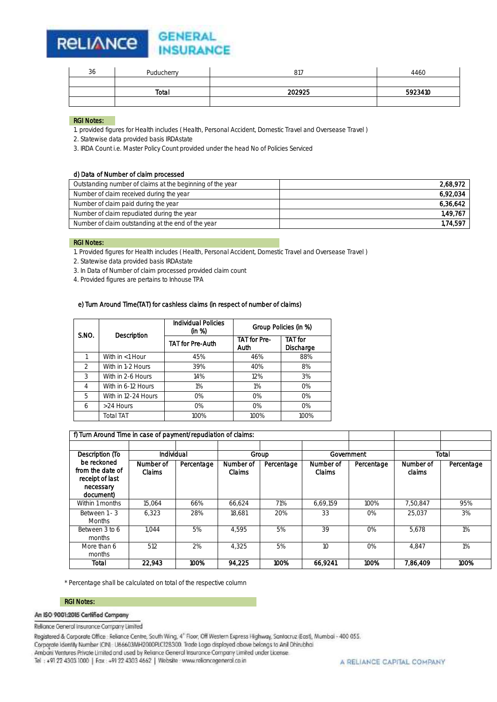# GENERAL **RELIANCE INSURANCE**

| 36 | Puducherry | 817    | 4460    |
|----|------------|--------|---------|
|    |            |        |         |
|    | Total      | 202925 | 5923410 |
|    |            |        |         |

#### RGI Notes:

1. provided figures for Health includes ( Health, Personal Accident, Domestic Travel and Oversease Travel )

2. Statewise data provided basis IRDAstate

3. IRDA Count i.e. Master Policy Count provided under the head No of Policies Serviced

#### d) Data of Number of claim processed

| Outstanding number of claims at the beginning of the year | 2,68,972 |
|-----------------------------------------------------------|----------|
| Number of claim received during the year                  | 6,92,034 |
| Number of claim paid during the year                      | 6,36,642 |
| Number of claim repudiated during the year                | 1,49,767 |
| Number of claim outstanding at the end of the year        | 1,74,597 |

#### RGI Notes:

1. Provided figures for Health includes ( Health, Personal Accident, Domestic Travel and Oversease Travel )

2. Statewise data provided basis IRDAstate

3. In Data of Number of claim processed provided claim count

4. Provided figures are pertains to Inhouse TPA

#### e) Turn Around Time(TAT) for cashless claims (in respect of number of claims)

| S.NO.         | Description         | Individual Policies<br>(in %) | Group Policies (in %) |                             |
|---------------|---------------------|-------------------------------|-----------------------|-----------------------------|
|               |                     | <b>TAT for Pre-Auth</b>       | TAT for Pre-<br>Auth  | <b>TAT</b> for<br>Discharge |
|               | With in <1 Hour     | 45%                           | 46%                   | 88%                         |
| $\mathcal{P}$ | With in 1-2 Hours   | 39%                           | 40%                   | 8%                          |
| 3             | With in 2-6 Hours   | 14%                           | 12%                   | 3%                          |
| 4             | With in 6-12 Hours  | 1%                            | 1%                    | 0%                          |
| 5             | With in 12-24 Hours | 0%                            | 0%                    | $0\%$                       |
| 6             | >24 Hours           | 0%                            | 0%                    | 0%                          |
|               | <b>Total TAT</b>    | 100%                          | 100%                  | 100%                        |

| f) Turn Around Time in case of payment/repudiation of claims:                |                            |            |                     |            |                     |            |                     |            |
|------------------------------------------------------------------------------|----------------------------|------------|---------------------|------------|---------------------|------------|---------------------|------------|
|                                                                              |                            |            |                     |            |                     |            |                     |            |
| Description (To                                                              | Individual                 |            | Group               |            | Government          |            | Total               |            |
| be reckoned<br>from the date of<br>receipt of last<br>necessary<br>document) | Number of<br><b>Claims</b> | Percentage | Number of<br>Claims | Percentage | Number of<br>Claims | Percentage | Number of<br>claims | Percentage |
| Within 1 months                                                              | 15.064                     | 66%        | 66.624              | 71%        | 6.69.159            | 100%       | 7.50.847            | 95%        |
| Between 1 - 3<br><b>Months</b>                                               | 6.323                      | 28%        | 18.681              | 20%        | 33                  | 0%         | 25.037              | 3%         |
| Between 3 to 6<br>months                                                     | 1.044                      | 5%         | 4.595               | 5%         | 39                  | 0%         | 5.678               | $1\%$      |
| More than 6<br>months                                                        | 512                        | 2%         | 4.325               | 5%         | 10                  | 0%         | 4.847               | 1%         |
| Total                                                                        | 22.943                     | 100%       | 94.225              | 100%       | 66.9241             | 100%       | 7,86,409            | 100%       |

\* Percentage shall be calculated on total of the respective column

#### RGI Notes:

#### An ISO 9001:2015 Certified Company

Reliance General Insurance Company Limited

Registered & Corporate Office : Reliance Centre, South Wing, 4" Floor, Off Western Express Highway, Santacruz (East), Mumbai - 400 055. Corporate Identity Number (CIN) : U66603MH2000PLC128300. Trade Logo displayed above belongs to Anil Dhirubhai Ambani Ventures Private Limited and used by Reliance General Insurance Company Limited under License.

Tel: +91 22 4303 1000 | Fax: +91 22 4303 4662 | Website: www.reliancegeneral.co.in

L